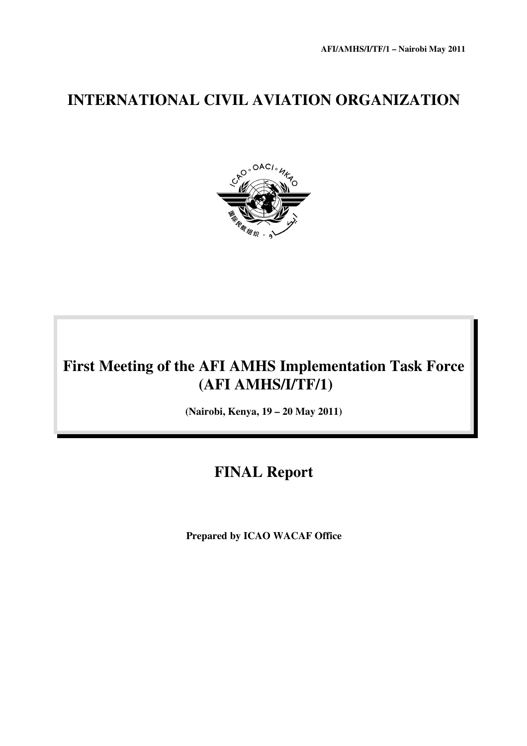# **INTERNATIONAL CIVIL AVIATION ORGANIZATION**



# **First Meeting of the AFI AMHS Implementation Task Force (AFI AMHS/I/TF/1)**

**(Nairobi, Kenya, 19 – 20 May 2011)** 

# **FINAL Report**

 **Prepared by ICAO WACAF Office**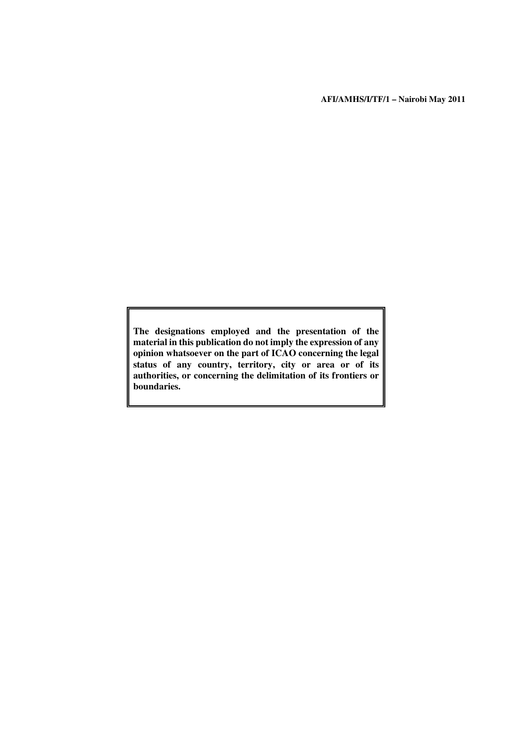**AFI/AMHS/I/TF/1 – Nairobi May 2011**

**The designations employed and the presentation of the material in this publication do not imply the expression of any opinion whatsoever on the part of ICAO concerning the legal status of any country, territory, city or area or of its authorities, or concerning the delimitation of its frontiers or boundaries.**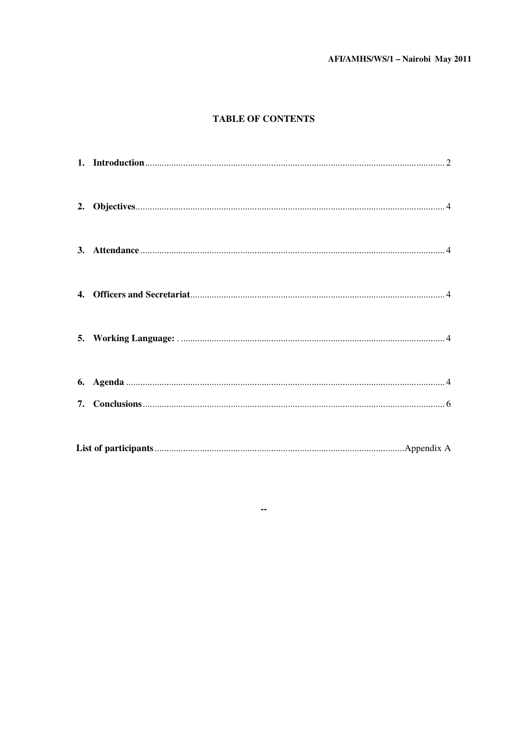# AFI/AMHS/WS/1 - Nairobi May 2011

## **TABLE OF CONTENTS**

 $\sim$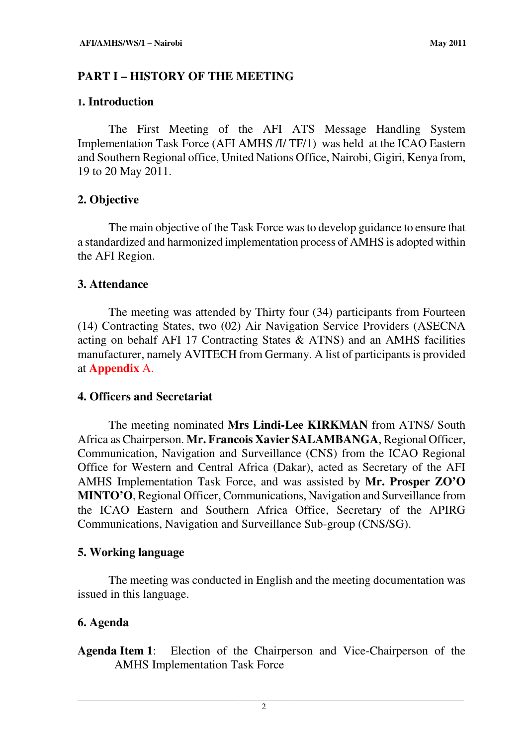# **PART I – HISTORY OF THE MEETING**

# **1. Introduction**

The First Meeting of the AFI ATS Message Handling System Implementation Task Force (AFI AMHS /I/ TF/1) was held at the ICAO Eastern and Southern Regional office, United Nations Office, Nairobi, Gigiri, Kenya from, 19 to 20 May 2011.

# **2. Objective**

 The main objective of the Task Force was to develop guidance to ensure that a standardized and harmonized implementation process of AMHS is adopted within the AFI Region.

# **3. Attendance**

 The meeting was attended by Thirty four (34) participants from Fourteen (14) Contracting States, two (02) Air Navigation Service Providers (ASECNA acting on behalf AFI 17 Contracting States & ATNS) and an AMHS facilities manufacturer, namely AVITECH from Germany. A list of participants is provided at **Appendix** A.

# **4. Officers and Secretariat**

 The meeting nominated **Mrs Lindi-Lee KIRKMAN** from ATNS/ South Africa as Chairperson. **Mr. Francois Xavier SALAMBANGA**, Regional Officer, Communication, Navigation and Surveillance (CNS) from the ICAO Regional Office for Western and Central Africa (Dakar), acted as Secretary of the AFI AMHS Implementation Task Force, and was assisted by **Mr. Prosper ZO'O MINTO'O**, Regional Officer, Communications, Navigation and Surveillance from the ICAO Eastern and Southern Africa Office, Secretary of the APIRG Communications, Navigation and Surveillance Sub-group (CNS/SG).

# **5. Working language**

 The meeting was conducted in English and the meeting documentation was issued in this language.

# **6. Agenda**

**Agenda Item 1**: Election of the Chairperson and Vice-Chairperson of the AMHS Implementation Task Force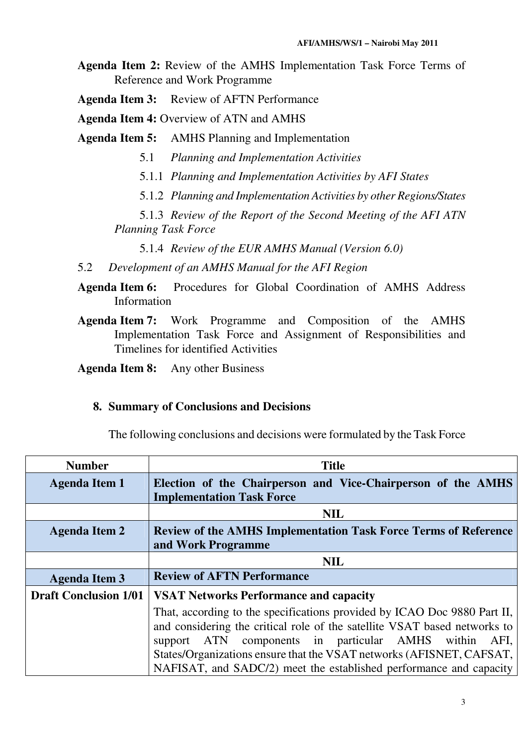**Agenda Item 2:** Review of the AMHS Implementation Task Force Terms of Reference and Work Programme

**Agenda Item 3:** Review of AFTN Performance

**Agenda Item 4:** Overview of ATN and AMHS

**Agenda Item 5:** AMHS Planning and Implementation

- 5.1 *Planning and Implementation Activities*
- 5.1.1 *Planning and Implementation Activities by AFI States*
- 5.1.2 *Planning and Implementation Activities by other Regions/States*

5.1.3 *Review of the Report of the Second Meeting of the AFI ATN Planning Task Force* 

5.1.4 *Review of the EUR AMHS Manual (Version 6.0)* 

- 5.2 *Development of an AMHS Manual for the AFI Region*
- **Agenda Item 6:** Procedures for Global Coordination of AMHS Address Information
- **Agenda Item 7:** Work Programme and Composition of the AMHS Implementation Task Force and Assignment of Responsibilities and Timelines for identified Activities

**Agenda Item 8:** Any other Business

### **8. Summary of Conclusions and Decisions**

The following conclusions and decisions were formulated by the Task Force

| <b>Number</b>                | <b>Title</b>                                                              |  |  |
|------------------------------|---------------------------------------------------------------------------|--|--|
| <b>Agenda Item 1</b>         | Election of the Chairperson and Vice-Chairperson of the AMHS              |  |  |
|                              | <b>Implementation Task Force</b>                                          |  |  |
|                              | <b>NIL</b>                                                                |  |  |
| <b>Agenda Item 2</b>         | <b>Review of the AMHS Implementation Task Force Terms of Reference</b>    |  |  |
|                              | and Work Programme                                                        |  |  |
|                              | <b>NIL</b>                                                                |  |  |
| <b>Agenda Item 3</b>         | <b>Review of AFTN Performance</b>                                         |  |  |
| <b>Draft Conclusion 1/01</b> | <b>VSAT Networks Performance and capacity</b>                             |  |  |
|                              | That, according to the specifications provided by ICAO Doc 9880 Part II,  |  |  |
|                              | and considering the critical role of the satellite VSAT based networks to |  |  |
|                              | support ATN components in particular AMHS within AFI,                     |  |  |
|                              | States/Organizations ensure that the VSAT networks (AFISNET, CAFSAT,      |  |  |
|                              | NAFISAT, and SADC/2) meet the established performance and capacity        |  |  |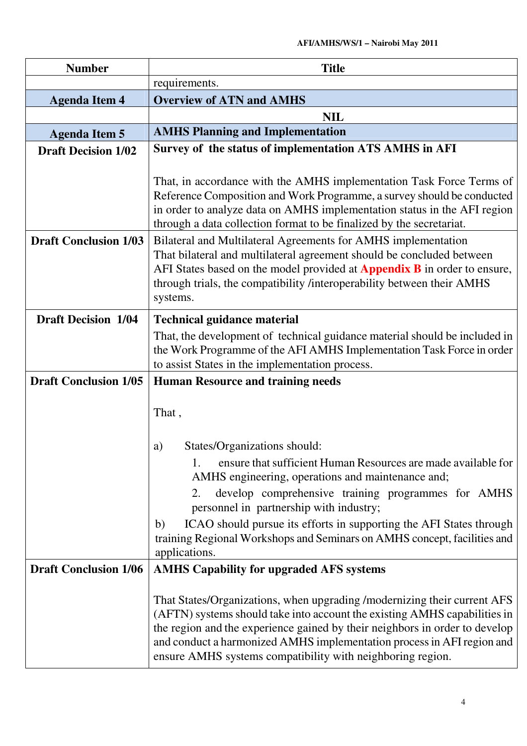| <b>Number</b>                | <b>Title</b>                                                                                                                                                                                                                                                                                                                                                                                                                                             |  |
|------------------------------|----------------------------------------------------------------------------------------------------------------------------------------------------------------------------------------------------------------------------------------------------------------------------------------------------------------------------------------------------------------------------------------------------------------------------------------------------------|--|
|                              | requirements.                                                                                                                                                                                                                                                                                                                                                                                                                                            |  |
| <b>Agenda Item 4</b>         | <b>Overview of ATN and AMHS</b>                                                                                                                                                                                                                                                                                                                                                                                                                          |  |
|                              | <b>NIL</b>                                                                                                                                                                                                                                                                                                                                                                                                                                               |  |
| <b>Agenda Item 5</b>         | <b>AMHS Planning and Implementation</b>                                                                                                                                                                                                                                                                                                                                                                                                                  |  |
| <b>Draft Decision 1/02</b>   | Survey of the status of implementation ATS AMHS in AFI                                                                                                                                                                                                                                                                                                                                                                                                   |  |
|                              | That, in accordance with the AMHS implementation Task Force Terms of<br>Reference Composition and Work Programme, a survey should be conducted<br>in order to analyze data on AMHS implementation status in the AFI region<br>through a data collection format to be finalized by the secretariat.                                                                                                                                                       |  |
| <b>Draft Conclusion 1/03</b> | Bilateral and Multilateral Agreements for AMHS implementation<br>That bilateral and multilateral agreement should be concluded between<br>AFI States based on the model provided at <b>Appendix B</b> in order to ensure,<br>through trials, the compatibility /interoperability between their AMHS<br>systems.                                                                                                                                          |  |
| <b>Draft Decision 1/04</b>   | <b>Technical guidance material</b>                                                                                                                                                                                                                                                                                                                                                                                                                       |  |
|                              | That, the development of technical guidance material should be included in<br>the Work Programme of the AFI AMHS Implementation Task Force in order<br>to assist States in the implementation process.                                                                                                                                                                                                                                                   |  |
| <b>Draft Conclusion 1/05</b> | <b>Human Resource and training needs</b>                                                                                                                                                                                                                                                                                                                                                                                                                 |  |
|                              | That,<br>States/Organizations should:<br>a)<br>ensure that sufficient Human Resources are made available for<br>1.<br>AMHS engineering, operations and maintenance and;<br>develop comprehensive training programmes for AMHS<br>2.<br>personnel in partnership with industry;<br>ICAO should pursue its efforts in supporting the AFI States through<br>b)<br>training Regional Workshops and Seminars on AMHS concept, facilities and<br>applications. |  |
| <b>Draft Conclusion 1/06</b> | <b>AMHS Capability for upgraded AFS systems</b>                                                                                                                                                                                                                                                                                                                                                                                                          |  |
|                              | That States/Organizations, when upgrading /modernizing their current AFS<br>(AFTN) systems should take into account the existing AMHS capabilities in<br>the region and the experience gained by their neighbors in order to develop<br>and conduct a harmonized AMHS implementation process in AFI region and<br>ensure AMHS systems compatibility with neighboring region.                                                                             |  |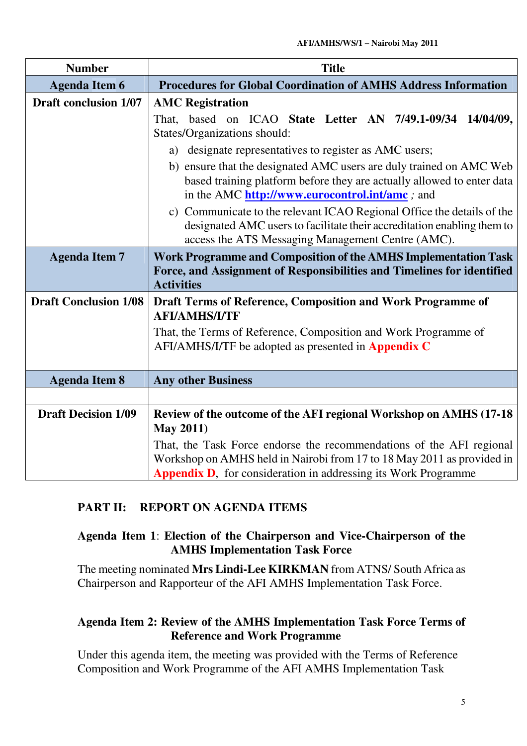| <b>Number</b>                | <b>Title</b>                                                                                                                 |
|------------------------------|------------------------------------------------------------------------------------------------------------------------------|
| <b>Agenda Item 6</b>         | <b>Procedures for Global Coordination of AMHS Address Information</b>                                                        |
| <b>Draft conclusion 1/07</b> | <b>AMC Registration</b>                                                                                                      |
|                              | based on ICAO State Letter AN 7/49.1-09/34 14/04/09,<br>That.                                                                |
|                              | States/Organizations should:                                                                                                 |
|                              | designate representatives to register as AMC users;<br>a)                                                                    |
|                              | b) ensure that the designated AMC users are duly trained on AMC Web                                                          |
|                              | based training platform before they are actually allowed to enter data                                                       |
|                              | in the AMC http://www.eurocontrol.int/amc; and                                                                               |
|                              | c) Communicate to the relevant ICAO Regional Office the details of the                                                       |
|                              | designated AMC users to facilitate their accreditation enabling them to<br>access the ATS Messaging Management Centre (AMC). |
| <b>Agenda Item 7</b>         | Work Programme and Composition of the AMHS Implementation Task                                                               |
|                              | Force, and Assignment of Responsibilities and Timelines for identified                                                       |
|                              | <b>Activities</b>                                                                                                            |
| <b>Draft Conclusion 1/08</b> | Draft Terms of Reference, Composition and Work Programme of<br><b>AFI/AMHS/I/TF</b>                                          |
|                              | That, the Terms of Reference, Composition and Work Programme of                                                              |
|                              | AFI/AMHS/I/TF be adopted as presented in <b>Appendix C</b>                                                                   |
|                              |                                                                                                                              |
| <b>Agenda Item 8</b>         | <b>Any other Business</b>                                                                                                    |
|                              |                                                                                                                              |
| <b>Draft Decision 1/09</b>   | Review of the outcome of the AFI regional Workshop on AMHS (17-18)                                                           |
|                              | <b>May 2011)</b>                                                                                                             |
|                              | That, the Task Force endorse the recommendations of the AFI regional                                                         |
|                              | Workshop on AMHS held in Nairobi from 17 to 18 May 2011 as provided in                                                       |
|                              | <b>Appendix D.</b> for consideration in addressing its Work Programme                                                        |

# **PART II: REPORT ON AGENDA ITEMS**

# **Agenda Item 1**: **Election of the Chairperson and Vice-Chairperson of the AMHS Implementation Task Force**

The meeting nominated **Mrs Lindi-Lee KIRKMAN** from ATNS/ South Africa as Chairperson and Rapporteur of the AFI AMHS Implementation Task Force.

# **Agenda Item 2: Review of the AMHS Implementation Task Force Terms of Reference and Work Programme**

Under this agenda item, the meeting was provided with the Terms of Reference Composition and Work Programme of the AFI AMHS Implementation Task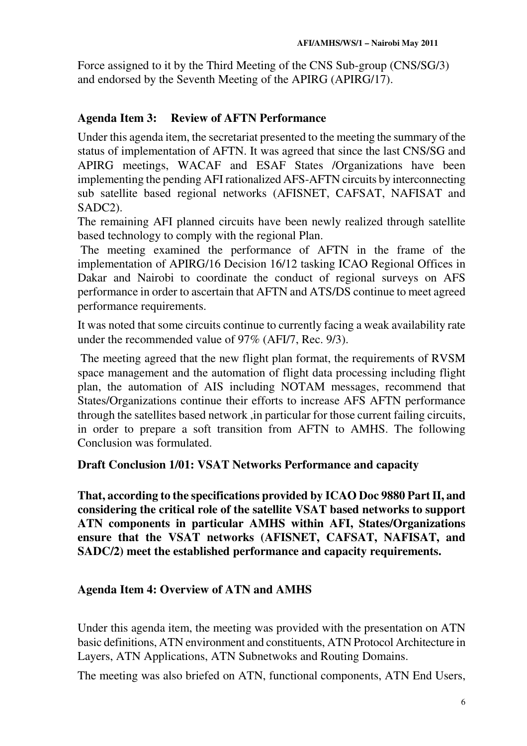Force assigned to it by the Third Meeting of the CNS Sub-group (CNS/SG/3) and endorsed by the Seventh Meeting of the APIRG (APIRG/17).

# **Agenda Item 3: Review of AFTN Performance**

Under this agenda item, the secretariat presented to the meeting the summary of the status of implementation of AFTN. It was agreed that since the last CNS/SG and APIRG meetings, WACAF and ESAF States /Organizations have been implementing the pending AFI rationalized AFS-AFTN circuits by interconnecting sub satellite based regional networks (AFISNET, CAFSAT, NAFISAT and SADC2).

The remaining AFI planned circuits have been newly realized through satellite based technology to comply with the regional Plan.

 The meeting examined the performance of AFTN in the frame of the implementation of APIRG/16 Decision 16/12 tasking ICAO Regional Offices in Dakar and Nairobi to coordinate the conduct of regional surveys on AFS performance in order to ascertain that AFTN and ATS/DS continue to meet agreed performance requirements.

It was noted that some circuits continue to currently facing a weak availability rate under the recommended value of 97% (AFI/7, Rec. 9/3).

 The meeting agreed that the new flight plan format, the requirements of RVSM space management and the automation of flight data processing including flight plan, the automation of AIS including NOTAM messages, recommend that States/Organizations continue their efforts to increase AFS AFTN performance through the satellites based network ,in particular for those current failing circuits, in order to prepare a soft transition from AFTN to AMHS. The following Conclusion was formulated.

# **Draft Conclusion 1/01: VSAT Networks Performance and capacity**

**That, according to the specifications provided by ICAO Doc 9880 Part II, and considering the critical role of the satellite VSAT based networks to support ATN components in particular AMHS within AFI, States/Organizations ensure that the VSAT networks (AFISNET, CAFSAT, NAFISAT, and SADC/2) meet the established performance and capacity requirements.** 

# **Agenda Item 4: Overview of ATN and AMHS**

Under this agenda item, the meeting was provided with the presentation on ATN basic definitions, ATN environment and constituents, ATN Protocol Architecture in Layers, ATN Applications, ATN Subnetwoks and Routing Domains.

The meeting was also briefed on ATN, functional components, ATN End Users,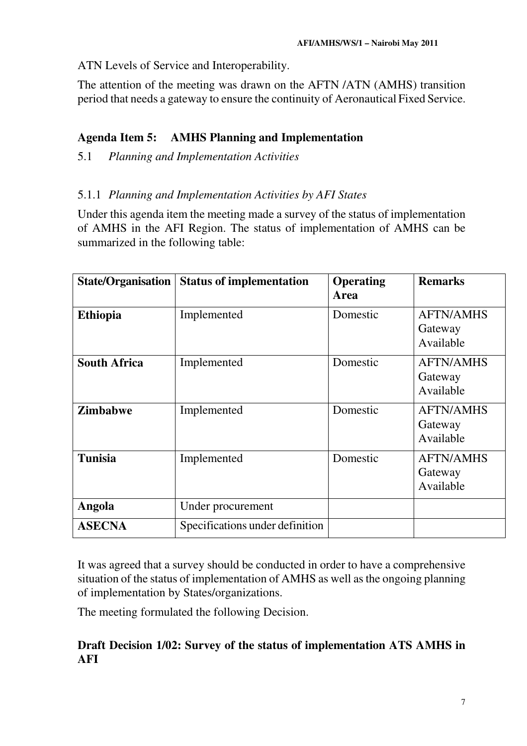ATN Levels of Service and Interoperability.

The attention of the meeting was drawn on the AFTN /ATN (AMHS) transition period that needs a gateway to ensure the continuity of Aeronautical Fixed Service.

# **Agenda Item 5: AMHS Planning and Implementation**

5.1 *Planning and Implementation Activities* 

# 5.1.1 *Planning and Implementation Activities by AFI States*

Under this agenda item the meeting made a survey of the status of implementation of AMHS in the AFI Region. The status of implementation of AMHS can be summarized in the following table:

| <b>State/Organisation</b> | <b>Status of implementation</b> | <b>Operating</b><br>Area | <b>Remarks</b>                           |
|---------------------------|---------------------------------|--------------------------|------------------------------------------|
| <b>Ethiopia</b>           | Implemented                     | Domestic                 | <b>AFTN/AMHS</b><br>Gateway<br>Available |
| <b>South Africa</b>       | Implemented                     | Domestic                 | <b>AFTN/AMHS</b><br>Gateway<br>Available |
| <b>Zimbabwe</b>           | Implemented                     | Domestic                 | <b>AFTN/AMHS</b><br>Gateway<br>Available |
| <b>Tunisia</b>            | Implemented                     | Domestic                 | <b>AFTN/AMHS</b><br>Gateway<br>Available |
| Angola                    | Under procurement               |                          |                                          |
| <b>ASECNA</b>             | Specifications under definition |                          |                                          |

It was agreed that a survey should be conducted in order to have a comprehensive situation of the status of implementation of AMHS as well as the ongoing planning of implementation by States/organizations.

The meeting formulated the following Decision.

# **Draft Decision 1/02: Survey of the status of implementation ATS AMHS in AFI**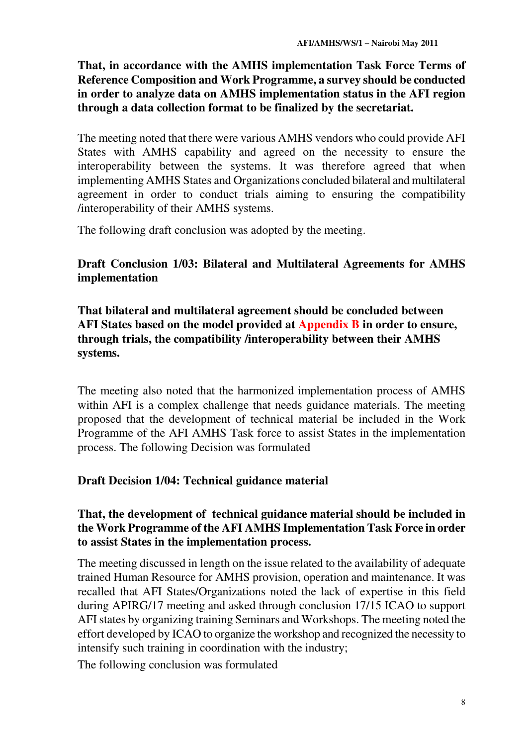**That, in accordance with the AMHS implementation Task Force Terms of Reference Composition and Work Programme, a survey should be conducted in order to analyze data on AMHS implementation status in the AFI region through a data collection format to be finalized by the secretariat.** 

The meeting noted that there were various AMHS vendors who could provide AFI States with AMHS capability and agreed on the necessity to ensure the interoperability between the systems. It was therefore agreed that when implementing AMHS States and Organizations concluded bilateral and multilateral agreement in order to conduct trials aiming to ensuring the compatibility /interoperability of their AMHS systems.

The following draft conclusion was adopted by the meeting.

# **Draft Conclusion 1/03: Bilateral and Multilateral Agreements for AMHS implementation**

**That bilateral and multilateral agreement should be concluded between AFI States based on the model provided at Appendix B in order to ensure, through trials, the compatibility /interoperability between their AMHS systems.** 

The meeting also noted that the harmonized implementation process of AMHS within AFI is a complex challenge that needs guidance materials. The meeting proposed that the development of technical material be included in the Work Programme of the AFI AMHS Task force to assist States in the implementation process. The following Decision was formulated

# **Draft Decision 1/04: Technical guidance material**

# **That, the development of technical guidance material should be included in the Work Programme of the AFI AMHS Implementation Task Force in order to assist States in the implementation process.**

The meeting discussed in length on the issue related to the availability of adequate trained Human Resource for AMHS provision, operation and maintenance. It was recalled that AFI States/Organizations noted the lack of expertise in this field during APIRG/17 meeting and asked through conclusion 17/15 ICAO to support AFI states by organizing training Seminars and Workshops. The meeting noted the effort developed by ICAO to organize the workshop and recognized the necessity to intensify such training in coordination with the industry;

The following conclusion was formulated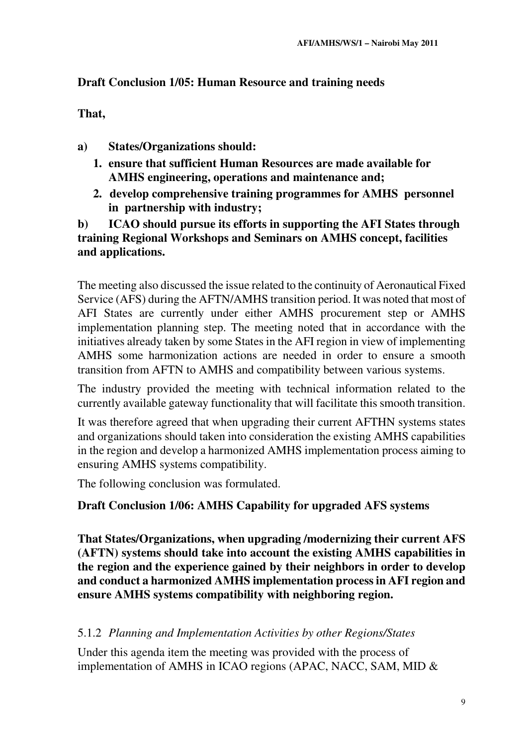# **Draft Conclusion 1/05: Human Resource and training needs**

**That,** 

- **a) States/Organizations should:** 
	- **1. ensure that sufficient Human Resources are made available for AMHS engineering, operations and maintenance and;**
	- **2. develop comprehensive training programmes for AMHS personnel in partnership with industry;**

**b) ICAO should pursue its efforts in supporting the AFI States through training Regional Workshops and Seminars on AMHS concept, facilities and applications.** 

The meeting also discussed the issue related to the continuity of Aeronautical Fixed Service (AFS) during the AFTN/AMHS transition period. It was noted that most of AFI States are currently under either AMHS procurement step or AMHS implementation planning step. The meeting noted that in accordance with the initiatives already taken by some States in the AFI region in view of implementing AMHS some harmonization actions are needed in order to ensure a smooth transition from AFTN to AMHS and compatibility between various systems.

The industry provided the meeting with technical information related to the currently available gateway functionality that will facilitate this smooth transition.

It was therefore agreed that when upgrading their current AFTHN systems states and organizations should taken into consideration the existing AMHS capabilities in the region and develop a harmonized AMHS implementation process aiming to ensuring AMHS systems compatibility.

The following conclusion was formulated.

# **Draft Conclusion 1/06: AMHS Capability for upgraded AFS systems**

**That States/Organizations, when upgrading /modernizing their current AFS (AFTN) systems should take into account the existing AMHS capabilities in the region and the experience gained by their neighbors in order to develop and conduct a harmonized AMHS implementation process in AFI region and ensure AMHS systems compatibility with neighboring region.** 

# 5.1.2 *Planning and Implementation Activities by other Regions/States*

Under this agenda item the meeting was provided with the process of implementation of AMHS in ICAO regions (APAC, NACC, SAM, MID &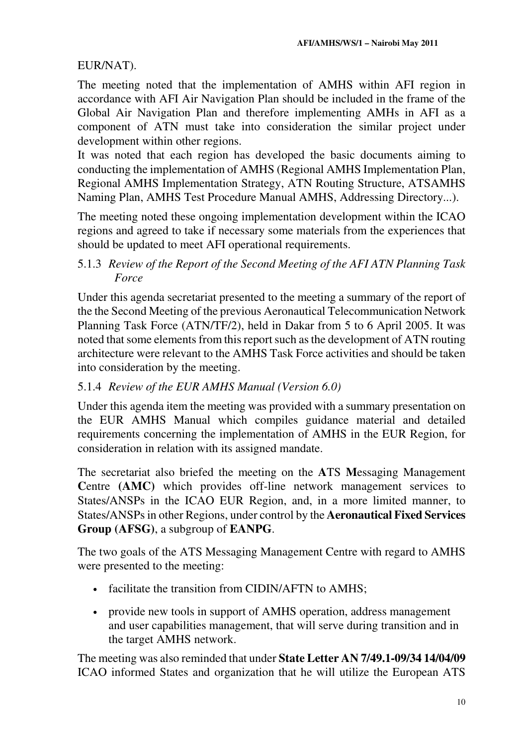EUR/NAT).

The meeting noted that the implementation of AMHS within AFI region in accordance with AFI Air Navigation Plan should be included in the frame of the Global Air Navigation Plan and therefore implementing AMHs in AFI as a component of ATN must take into consideration the similar project under development within other regions.

It was noted that each region has developed the basic documents aiming to conducting the implementation of AMHS (Regional AMHS Implementation Plan, Regional AMHS Implementation Strategy, ATN Routing Structure, ATSAMHS Naming Plan, AMHS Test Procedure Manual AMHS, Addressing Directory...).

The meeting noted these ongoing implementation development within the ICAO regions and agreed to take if necessary some materials from the experiences that should be updated to meet AFI operational requirements.

# 5.1.3 *Review of the Report of the Second Meeting of the AFI ATN Planning Task Force*

Under this agenda secretariat presented to the meeting a summary of the report of the the Second Meeting of the previous Aeronautical Telecommunication Network Planning Task Force (ATN/TF/2), held in Dakar from 5 to 6 April 2005. It was noted that some elements from this report such as the development of ATN routing architecture were relevant to the AMHS Task Force activities and should be taken into consideration by the meeting.

# 5.1.4 *Review of the EUR AMHS Manual (Version 6.0)*

Under this agenda item the meeting was provided with a summary presentation on the EUR AMHS Manual which compiles guidance material and detailed requirements concerning the implementation of AMHS in the EUR Region, for consideration in relation with its assigned mandate.

The secretariat also briefed the meeting on the **A**TS **M**essaging Management **Centre** (AMC) which provides off-line network management services to States/ANSPs in the ICAO EUR Region, and, in a more limited manner, to States/ANSPs in other Regions, under control by the **Aeronautical Fixed Services Group (AFSG)**, a subgroup of **EANPG**.

The two goals of the ATS Messaging Management Centre with regard to AMHS were presented to the meeting:

- facilitate the transition from CIDIN/AFTN to AMHS;
- provide new tools in support of AMHS operation, address management and user capabilities management, that will serve during transition and in the target AMHS network.

The meeting was also reminded that under **State Letter AN 7/49.1-09/34 14/04/09** ICAO informed States and organization that he will utilize the European ATS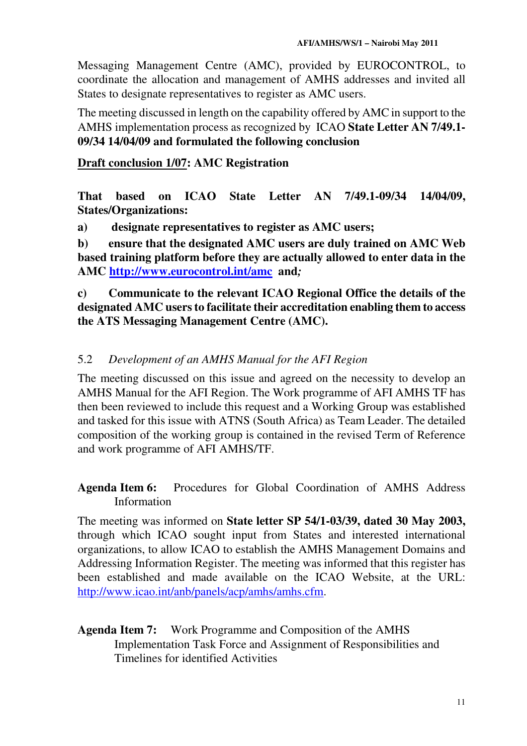Messaging Management Centre (AMC), provided by EUROCONTROL, to coordinate the allocation and management of AMHS addresses and invited all States to designate representatives to register as AMC users.

The meeting discussed in length on the capability offered by AMC in support to the AMHS implementation process as recognized by ICAO **State Letter AN 7/49.1- 09/34 14/04/09 and formulated the following conclusion**

# **Draft conclusion 1/07: AMC Registration**

**That based on ICAO State Letter AN 7/49.1-09/34 14/04/09, States/Organizations:** 

**a) designate representatives to register as AMC users;** 

**b) ensure that the designated AMC users are duly trained on AMC Web based training platform before they are actually allowed to enter data in the AMC http://www.eurocontrol.int/amc****and***;*

**c) Communicate to the relevant ICAO Regional Office the details of the designated AMC users to facilitate their accreditation enabling them to access the ATS Messaging Management Centre (AMC).** 

# 5.2 *Development of an AMHS Manual for the AFI Region*

The meeting discussed on this issue and agreed on the necessity to develop an AMHS Manual for the AFI Region. The Work programme of AFI AMHS TF has then been reviewed to include this request and a Working Group was established and tasked for this issue with ATNS (South Africa) as Team Leader. The detailed composition of the working group is contained in the revised Term of Reference and work programme of AFI AMHS/TF.

**Agenda Item 6:** Procedures for Global Coordination of AMHS Address Information

The meeting was informed on **State letter SP 54/1-03/39, dated 30 May 2003,** through which ICAO sought input from States and interested international organizations, to allow ICAO to establish the AMHS Management Domains and Addressing Information Register. The meeting was informed that this register has been established and made available on the ICAO Website, at the URL: http://www.icao.int/anb/panels/acp/amhs/amhs.cfm.

# **Agenda Item 7:** Work Programme and Composition of the AMHS Implementation Task Force and Assignment of Responsibilities and Timelines for identified Activities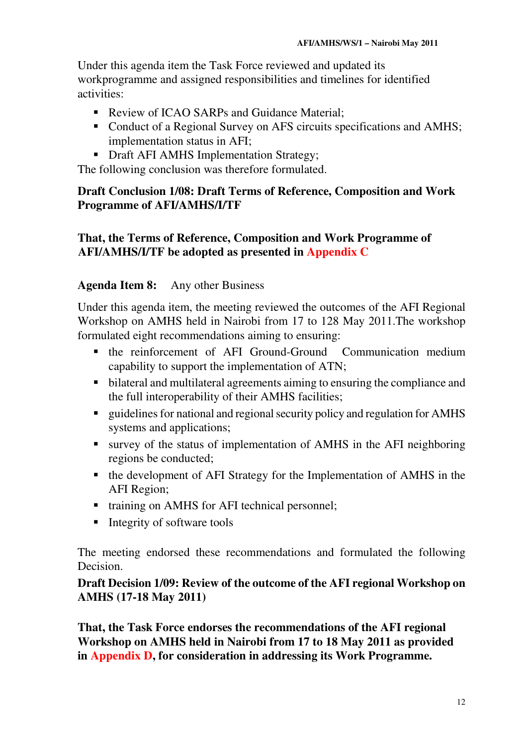Under this agenda item the Task Force reviewed and updated its workprogramme and assigned responsibilities and timelines for identified activities:

- Review of ICAO SARPs and Guidance Material:
- Conduct of a Regional Survey on AFS circuits specifications and AMHS; implementation status in AFI;
- Draft AFI AMHS Implementation Strategy;

The following conclusion was therefore formulated.

# **Draft Conclusion 1/08: Draft Terms of Reference, Composition and Work Programme of AFI/AMHS/I/TF**

# **That, the Terms of Reference, Composition and Work Programme of AFI/AMHS/I/TF be adopted as presented in Appendix C**

# **Agenda Item 8:** Any other Business

Under this agenda item, the meeting reviewed the outcomes of the AFI Regional Workshop on AMHS held in Nairobi from 17 to 128 May 2011.The workshop formulated eight recommendations aiming to ensuring:

- the reinforcement of AFI Ground-Ground Communication medium capability to support the implementation of ATN;
- **•** bilateral and multilateral agreements aiming to ensuring the compliance and the full interoperability of their AMHS facilities;
- guidelines for national and regional security policy and regulation for AMHS systems and applications;
- survey of the status of implementation of AMHS in the AFI neighboring regions be conducted;
- the development of AFI Strategy for the Implementation of AMHS in the AFI Region;
- training on AMHS for AFI technical personnel;
- $\blacksquare$  Integrity of software tools

The meeting endorsed these recommendations and formulated the following Decision.

# **Draft Decision 1/09: Review of the outcome of the AFI regional Workshop on AMHS (17-18 May 2011)**

**That, the Task Force endorses the recommendations of the AFI regional Workshop on AMHS held in Nairobi from 17 to 18 May 2011 as provided in Appendix D, for consideration in addressing its Work Programme.**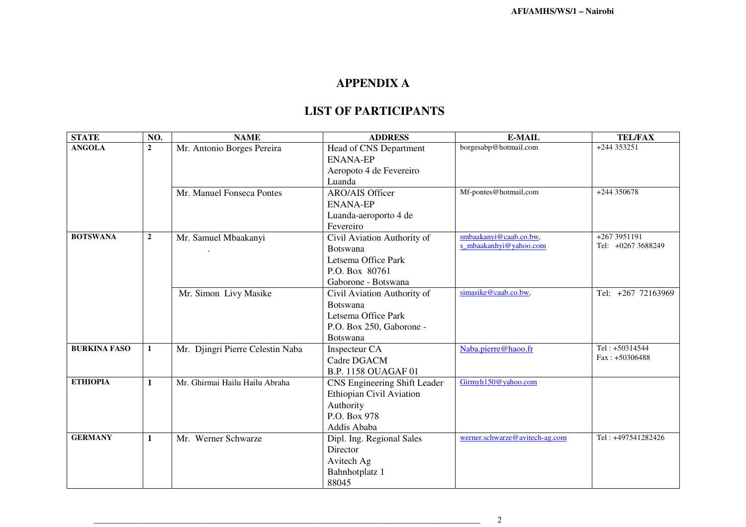| <b>STATE</b>        | NO.            | <b>NAME</b>                      | <b>ADDRESS</b>                                                                                                       | E-MAIL                                           | <b>TEL/FAX</b>                      |
|---------------------|----------------|----------------------------------|----------------------------------------------------------------------------------------------------------------------|--------------------------------------------------|-------------------------------------|
| <b>ANGOLA</b>       | $\overline{2}$ | Mr. Antonio Borges Pereira       | Head of CNS Department<br><b>ENANA-EP</b><br>Aeropoto 4 de Fevereiro<br>Luanda                                       | borgesabp@hotmail.com                            | $+244353251$                        |
|                     |                | Mr. Manuel Fonseca Pontes        | <b>ARO/AIS Officer</b><br><b>ENANA-EP</b><br>Luanda-aeroporto 4 de<br>Fevereiro                                      | Mf-pontes@hotmail,com                            | $+244350678$                        |
| <b>BOTSWANA</b>     | $\overline{2}$ | Mr. Samuel Mbaakanyi             | Civil Aviation Authority of<br><b>Botswana</b><br>Letsema Office Park<br>P.O. Box 80761<br>Gaborone - Botswana       | smbaakanyi@caab.co.bw,<br>s_mbaakanhyi@yahoo.com | $+2673951191$<br>Tel: +0267 3688249 |
|                     |                | Mr. Simon Livy Masike            | Civil Aviation Authority of<br><b>Botswana</b><br>Letsema Office Park<br>P.O. Box 250, Gaborone -<br><b>Botswana</b> | simasike@caab.co.bw,                             | Tel: +267 72163969                  |
| <b>BURKINA FASO</b> | $\mathbf{1}$   | Mr. Djingri Pierre Celestin Naba | Inspecteur CA<br>Cadre DGACM<br><b>B.P. 1158 OUAGAF 01</b>                                                           | Naba.pierre@haoo.fr                              | Tel: +50314544<br>$Fax: +50306488$  |
| <b>ETHIOPIA</b>     | $\mathbf{1}$   | Mr. Ghirmai Hailu Hailu Abraha   | CNS Engineering Shift Leader<br>Ethiopian Civil Aviation<br>Authority<br>P.O. Box 978<br>Addis Ababa                 | Girmyh150@yahoo.com                              |                                     |
| <b>GERMANY</b>      | $\mathbf{1}$   | Mr. Werner Schwarze              | Dipl. Ing. Regional Sales<br>Director<br>Avitech Ag<br>Bahnhotplatz 1<br>88045                                       | werner.schwarze@avitech-ag.com                   | Tel: +497541282426                  |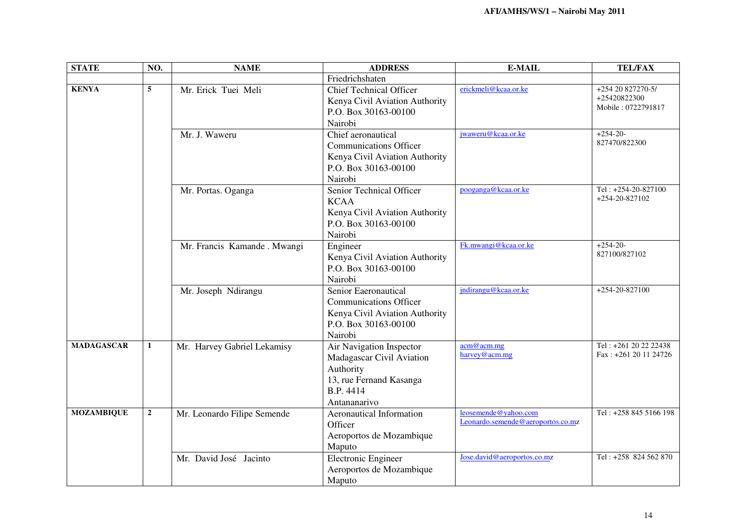| <b>STATE</b>      | NO.             | <b>NAME</b>                  | <b>ADDRESS</b>                                                                                                             | <b>E-MAIL</b>                                             | <b>TEL/FAX</b>                                          |
|-------------------|-----------------|------------------------------|----------------------------------------------------------------------------------------------------------------------------|-----------------------------------------------------------|---------------------------------------------------------|
|                   |                 |                              | Friedrichshaten                                                                                                            |                                                           |                                                         |
| <b>KENYA</b>      | $5\overline{)}$ | Mr. Erick Tuei Meli          | <b>Chief Technical Officer</b><br>Kenya Civil Aviation Authority<br>P.O. Box 30163-00100<br>Nairobi                        | erickmeli@kcaa.or.ke                                      | $+25420827270-5/$<br>+25420822300<br>Mobile: 0722791817 |
|                   |                 | Mr. J. Waweru                | Chief aeronautical<br><b>Communications Officer</b><br>Kenya Civil Aviation Authority<br>P.O. Box 30163-00100<br>Nairobi   | jwaweru@kcaa.or.ke                                        | $+254-20-$<br>827470/822300                             |
|                   |                 | Mr. Portas. Oganga           | Senior Technical Officer<br><b>KCAA</b><br>Kenya Civil Aviation Authority<br>P.O. Box 30163-00100<br>Nairobi               | pooganga@kcaa.or.ke                                       | Tel: $+254-20-827100$<br>$+254-20-827102$               |
|                   |                 | Mr. Francis Kamande . Mwangi | Engineer<br>Kenya Civil Aviation Authority<br>P.O. Box 30163-00100<br>Nairobi                                              | Fk.mwangi@kcaa.or.ke                                      | $+254-20-$<br>827100/827102                             |
|                   |                 | Mr. Joseph Ndirangu          | Senior Eaeronautical<br><b>Communications Officer</b><br>Kenya Civil Aviation Authority<br>P.O. Box 30163-00100<br>Nairobi | jndirangu@kcaa.or.ke                                      | $+254-20-827100$                                        |
| <b>MADAGASCAR</b> | $\mathbf{1}$    | Mr. Harvey Gabriel Lekamisy  | Air Navigation Inspector<br>Madagascar Civil Aviation<br>Authority<br>13, rue Fernand Kasanga<br>B.P. 4414<br>Antananarivo | acm@acm.mg<br>harvey@acm.mg                               | Tel: +261 20 22 22438<br>Fax: +261 20 11 24726          |
| <b>MOZAMBIQUE</b> | $\overline{2}$  | Mr. Leonardo Filipe Semende  | Aeronautical Information<br>Officer<br>Aeroportos de Mozambique<br>Maputo                                                  | leosemende@yahoo.com<br>Leonardo.semende@aeroportos.co.mz | Tel: +258 845 5166 198                                  |
|                   |                 | Mr. David José Jacinto       | Electronic Engineer<br>Aeroportos de Mozambique<br>Maputo                                                                  | Jose.david@aeroportos.co.mz                               | Tel: +258 824 562 870                                   |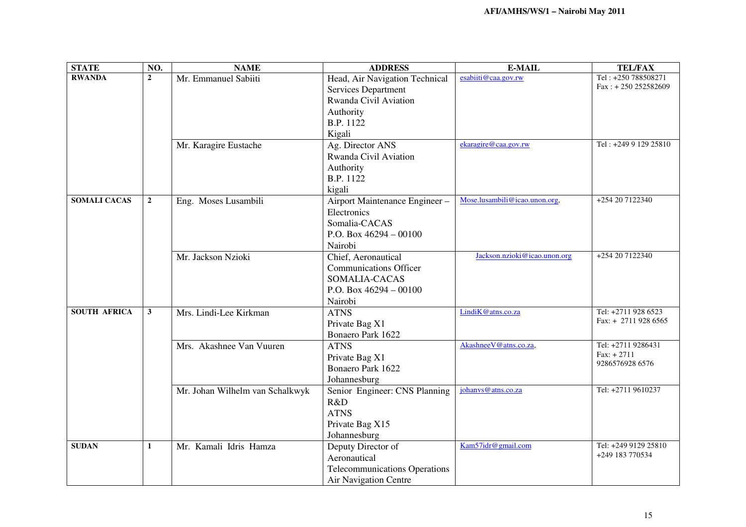| <b>STATE</b>        | NO.            | <b>NAME</b>                     | <b>ADDRESS</b>                       | <b>E-MAIL</b>                 | <b>TEL/FAX</b>                            |
|---------------------|----------------|---------------------------------|--------------------------------------|-------------------------------|-------------------------------------------|
| <b>RWANDA</b>       | $\overline{2}$ | Mr. Emmanuel Sabiiti            | Head, Air Navigation Technical       | esabiiti@caa.gov.rw           | Tel: +250 788508271                       |
|                     |                |                                 | <b>Services Department</b>           |                               | $Fax: + 250 252582609$                    |
|                     |                |                                 | Rwanda Civil Aviation                |                               |                                           |
|                     |                |                                 | Authority                            |                               |                                           |
|                     |                |                                 | B.P. 1122                            |                               |                                           |
|                     |                |                                 | Kigali                               |                               |                                           |
|                     |                | Mr. Karagire Eustache           | Ag. Director ANS                     | ekaragire@caa.gov.rw          | Tel: +249 9 129 25810                     |
|                     |                |                                 | Rwanda Civil Aviation                |                               |                                           |
|                     |                |                                 | Authority                            |                               |                                           |
|                     |                |                                 | B.P. 1122                            |                               |                                           |
|                     |                |                                 | kigali                               |                               |                                           |
| <b>SOMALI CACAS</b> | $\overline{2}$ | Eng. Moses Lusambili            | Airport Maintenance Engineer-        | Mose.lusambili@icao.unon.org, | +254 20 7122340                           |
|                     |                |                                 | Electronics                          |                               |                                           |
|                     |                |                                 | Somalia-CACAS                        |                               |                                           |
|                     |                |                                 | P.O. Box $46294 - 00100$             |                               |                                           |
|                     |                |                                 | Nairobi                              |                               |                                           |
|                     |                | Mr. Jackson Nzioki              | Chief, Aeronautical                  | Jackson.nzioki@icao.unon.org  | +254 20 7122340                           |
|                     |                |                                 | <b>Communications Officer</b>        |                               |                                           |
|                     |                |                                 |                                      |                               |                                           |
|                     |                |                                 | SOMALIA-CACAS                        |                               |                                           |
|                     |                |                                 | P.O. Box $46294 - 00100$             |                               |                                           |
|                     |                |                                 | Nairobi                              |                               |                                           |
| <b>SOUTH AFRICA</b> | $\mathbf{3}$   | Mrs. Lindi-Lee Kirkman          | <b>ATNS</b>                          | LindiK@atns.co.za             | Tel: +2711 928 6523<br>Fax: $+2711928655$ |
|                     |                |                                 | Private Bag X1                       |                               |                                           |
|                     |                |                                 | Bonaero Park 1622                    |                               |                                           |
|                     |                | Mrs. Akashnee Van Vuuren        | <b>ATNS</b>                          | Akashnee V@atns.co.za,        | Tel: +2711 9286431                        |
|                     |                |                                 | Private Bag X1                       |                               | $Fax: + 2711$<br>9286576928 6576          |
|                     |                |                                 | Bonaero Park 1622                    |                               |                                           |
|                     |                |                                 | Johannesburg                         |                               |                                           |
|                     |                | Mr. Johan Wilhelm van Schalkwyk | Senior Engineer: CNS Planning        | johanys@atns.co.za            | Tel: +2711 9610237                        |
|                     |                |                                 | R&D                                  |                               |                                           |
|                     |                |                                 | <b>ATNS</b>                          |                               |                                           |
|                     |                |                                 | Private Bag X15                      |                               |                                           |
|                     |                |                                 | Johannesburg                         |                               |                                           |
| <b>SUDAN</b>        | $\mathbf{1}$   | Mr. Kamali Idris Hamza          | Deputy Director of                   | Kam57idr@gmail.com            | Tel: +249 9129 25810                      |
|                     |                |                                 | Aeronautical                         |                               | +249 183 770534                           |
|                     |                |                                 | <b>Telecommunications Operations</b> |                               |                                           |
|                     |                |                                 | <b>Air Navigation Centre</b>         |                               |                                           |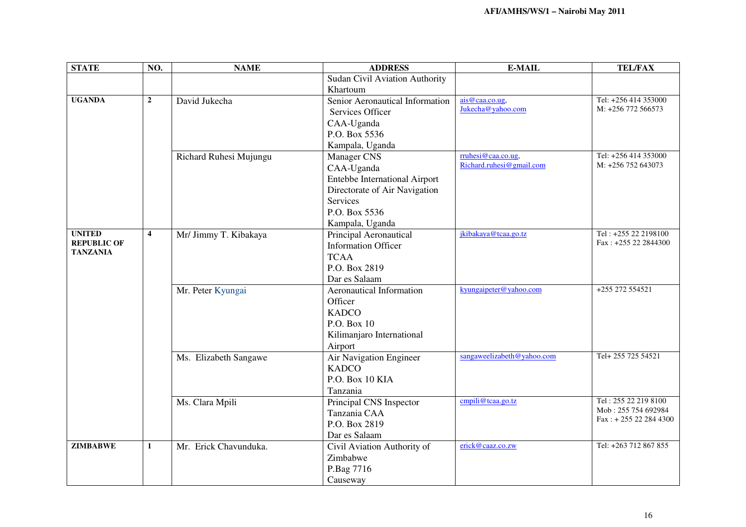| <b>STATE</b>                          | NO.                     | <b>NAME</b>            | <b>ADDRESS</b>                  | <b>E-MAIL</b>              | <b>TEL/FAX</b>                              |
|---------------------------------------|-------------------------|------------------------|---------------------------------|----------------------------|---------------------------------------------|
|                                       |                         |                        | Sudan Civil Aviation Authority  |                            |                                             |
|                                       |                         |                        | Khartoum                        |                            |                                             |
| <b>UGANDA</b>                         | $\mathbf 2$             | David Jukecha          | Senior Aeronautical Information | ais@caa.co.ug,             | Tel: +256 414 353000                        |
|                                       |                         |                        | Services Officer                | Jukecha@yahoo.com          | M: +256 772 566573                          |
|                                       |                         |                        | CAA-Uganda                      |                            |                                             |
|                                       |                         |                        | P.O. Box 5536                   |                            |                                             |
|                                       |                         |                        | Kampala, Uganda                 |                            |                                             |
|                                       |                         | Richard Ruhesi Mujungu | <b>Manager CNS</b>              | rruhesi@caa.co.ug.         | Tel: +256 414 353000                        |
|                                       |                         |                        | CAA-Uganda                      | Richard.ruhesi@gmail.com   | M: +256 752 643073                          |
|                                       |                         |                        | Entebbe International Airport   |                            |                                             |
|                                       |                         |                        | Directorate of Air Navigation   |                            |                                             |
|                                       |                         |                        | <b>Services</b>                 |                            |                                             |
|                                       |                         |                        | P.O. Box 5536                   |                            |                                             |
|                                       |                         |                        | Kampala, Uganda                 |                            |                                             |
| <b>UNITED</b>                         | $\overline{\mathbf{4}}$ | Mr/ Jimmy T. Kibakaya  | Principal Aeronautical          | jkibakaya@tcaa.go.tz       | Tel: +255 22 2198100                        |
| <b>REPUBLIC OF</b><br><b>TANZANIA</b> |                         |                        | <b>Information Officer</b>      |                            | Fax: +255 22 2844300                        |
|                                       |                         |                        | <b>TCAA</b>                     |                            |                                             |
|                                       |                         |                        | P.O. Box 2819                   |                            |                                             |
|                                       |                         |                        | Dar es Salaam                   |                            |                                             |
|                                       |                         | Mr. Peter Kyungai      | <b>Aeronautical Information</b> | kyungaipeter@yahoo.com     | +255 272 554521                             |
|                                       |                         |                        | Officer                         |                            |                                             |
|                                       |                         |                        | <b>KADCO</b>                    |                            |                                             |
|                                       |                         |                        | P.O. Box 10                     |                            |                                             |
|                                       |                         |                        | Kilimanjaro International       |                            |                                             |
|                                       |                         |                        | Airport                         |                            |                                             |
|                                       |                         | Ms. Elizabeth Sangawe  | Air Navigation Engineer         | sangaweelizabeth@yahoo.com | Tel+255 725 54521                           |
|                                       |                         |                        | <b>KADCO</b>                    |                            |                                             |
|                                       |                         |                        | P.O. Box 10 KIA                 |                            |                                             |
|                                       |                         |                        | Tanzania                        |                            |                                             |
|                                       |                         | Ms. Clara Mpili        | Principal CNS Inspector         | cmpili@tcaa.go.tz          | Tel: 255 22 219 8100<br>Mob: 255 754 692984 |
|                                       |                         |                        | Tanzania CAA                    |                            | Fax: +255 22 284 4300                       |
|                                       |                         |                        | P.O. Box 2819                   |                            |                                             |
|                                       |                         |                        | Dar es Salaam                   |                            |                                             |
| <b>ZIMBABWE</b>                       | $\mathbf{1}$            | Mr. Erick Chavunduka.  | Civil Aviation Authority of     | erick@caaz.co.zw           | Tel: +263 712 867 855                       |
|                                       |                         |                        | Zimbabwe                        |                            |                                             |
|                                       |                         |                        | P.Bag 7716                      |                            |                                             |
|                                       |                         |                        | Causeway                        |                            |                                             |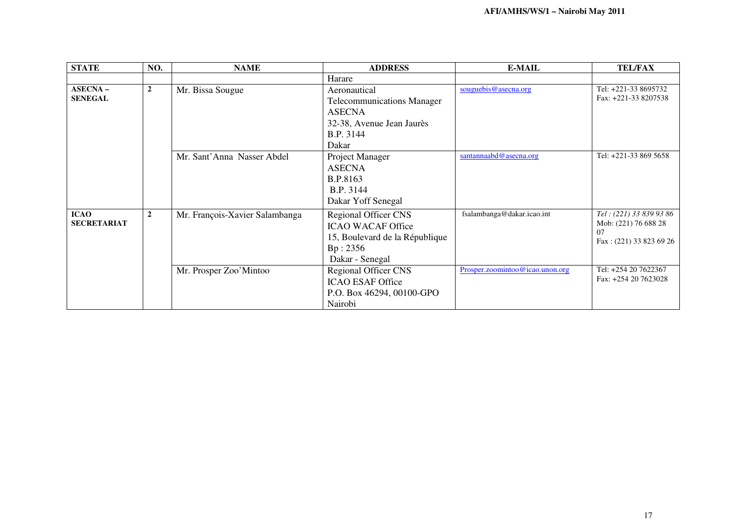| <b>STATE</b>                      | NO.            | <b>NAME</b>                    | <b>ADDRESS</b>                                                                                                           | <b>E-MAIL</b>                   | <b>TEL/FAX</b>                                                                   |
|-----------------------------------|----------------|--------------------------------|--------------------------------------------------------------------------------------------------------------------------|---------------------------------|----------------------------------------------------------------------------------|
|                                   |                |                                | Harare                                                                                                                   |                                 |                                                                                  |
| $ASECNA -$<br><b>SENEGAL</b>      | $\overline{2}$ | Mr. Bissa Sougue               | Aeronautical<br><b>Telecommunications Manager</b><br><b>ASECNA</b><br>32-38, Avenue Jean Jaurès<br>B.P. 3144<br>Dakar    | souguebis@asecna.org            | Tel: +221-33 8695732<br>Fax: +221-33 8207538                                     |
|                                   |                | Mr. Sant'Anna Nasser Abdel     | Project Manager<br><b>ASECNA</b><br>B.P.8163<br>B.P. 3144<br>Dakar Yoff Senegal                                          | santannaabd@asecna.org          | Tel: +221-33 869 5658                                                            |
| <b>ICAO</b><br><b>SECRETARIAT</b> | $\overline{2}$ | Mr. François-Xavier Salambanga | <b>Regional Officer CNS</b><br><b>ICAO WACAF Office</b><br>15, Boulevard de la République<br>Bp: 2356<br>Dakar - Senegal | fsalambanga@dakar.icao.int      | Tel: (221) 33 839 93 86<br>Mob: (221) 76 688 28<br>07<br>Fax: (221) 33 823 69 26 |
|                                   |                | Mr. Prosper Zoo'Mintoo         | <b>Regional Officer CNS</b><br><b>ICAO ESAF Office</b><br>P.O. Box 46294, 00100-GPO<br>Nairobi                           | Prosper.zoomintoo@icao.unon.org | Tel: +254 20 7622367<br>Fax: +254 20 7623028                                     |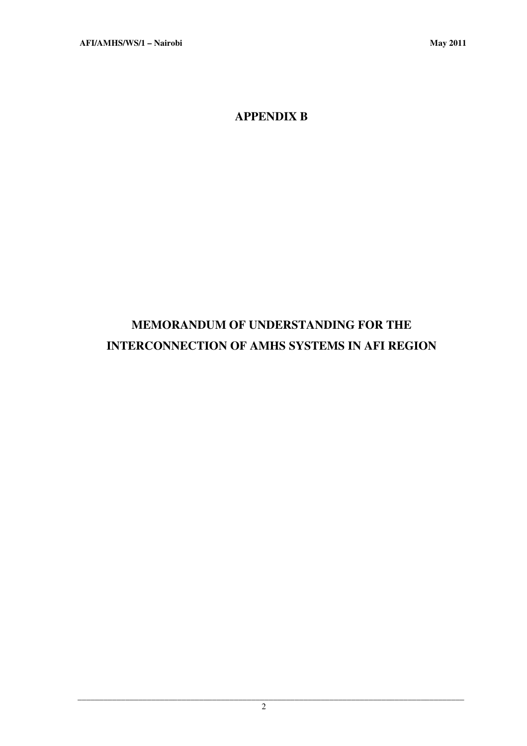**APPENDIX B** 

# **MEMORANDUM OF UNDERSTANDING FOR THE INTERCONNECTION OF AMHS SYSTEMS IN AFI REGION**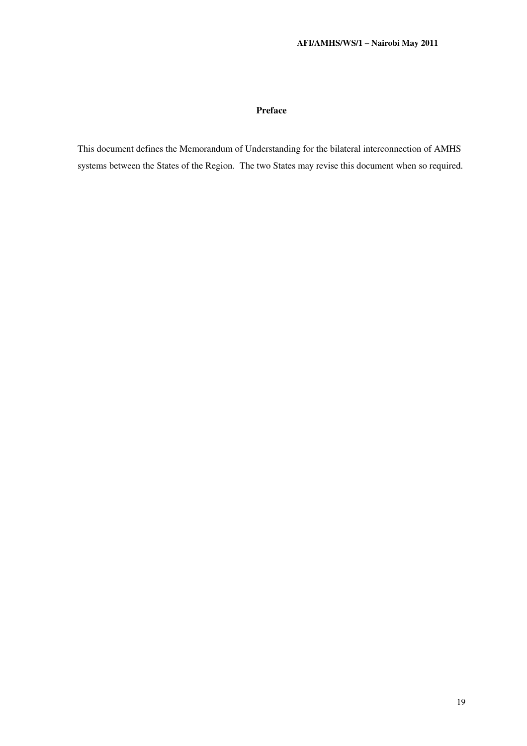#### **Preface**

This document defines the Memorandum of Understanding for the bilateral interconnection of AMHS systems between the States of the Region. The two States may revise this document when so required.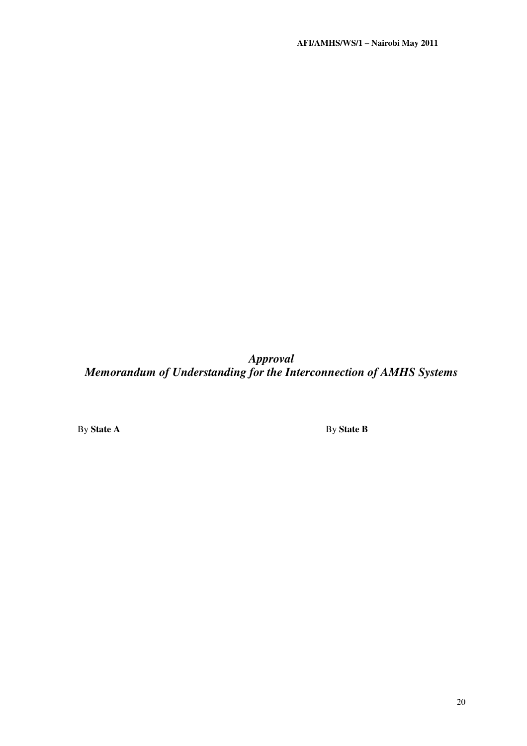*Approval Memorandum of Understanding for the Interconnection of AMHS Systems* 

By **State A** By **State B**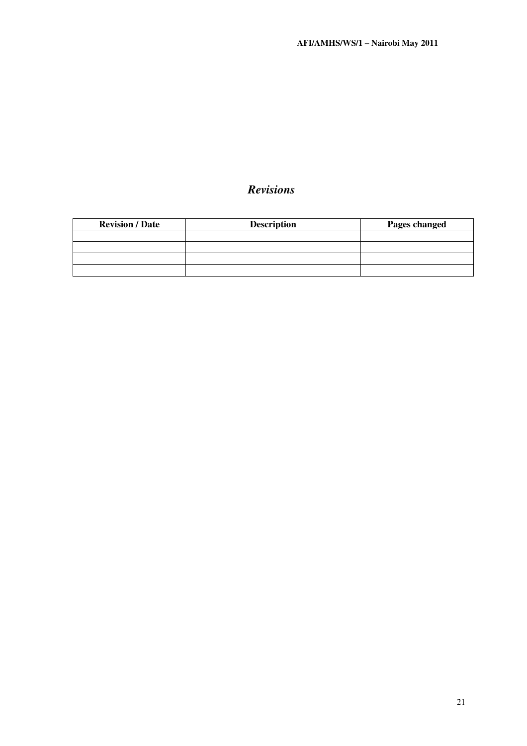# *Revisions*

| <b>Revision / Date</b> | <b>Description</b> | Pages changed |
|------------------------|--------------------|---------------|
|                        |                    |               |
|                        |                    |               |
|                        |                    |               |
|                        |                    |               |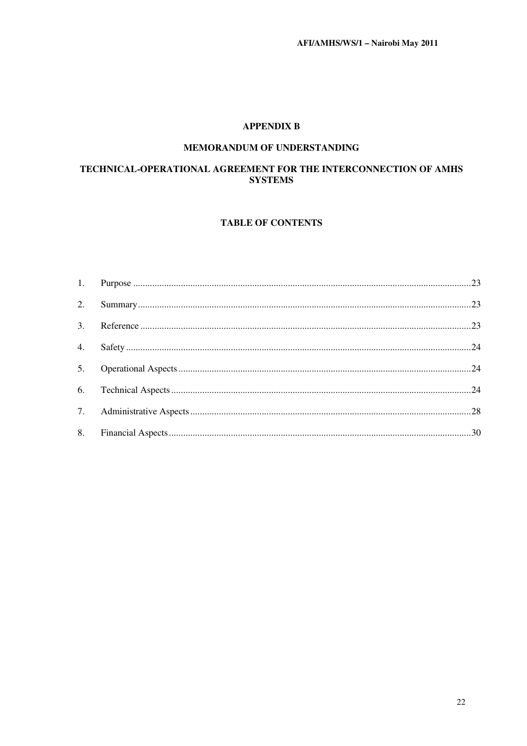### **APPENDIX B**

#### MEMORANDUM OF UNDERSTANDING

### TECHNICAL-OPERATIONAL AGREEMENT FOR THE INTERCONNECTION OF AMHS **SYSTEMS**

### **TABLE OF CONTENTS**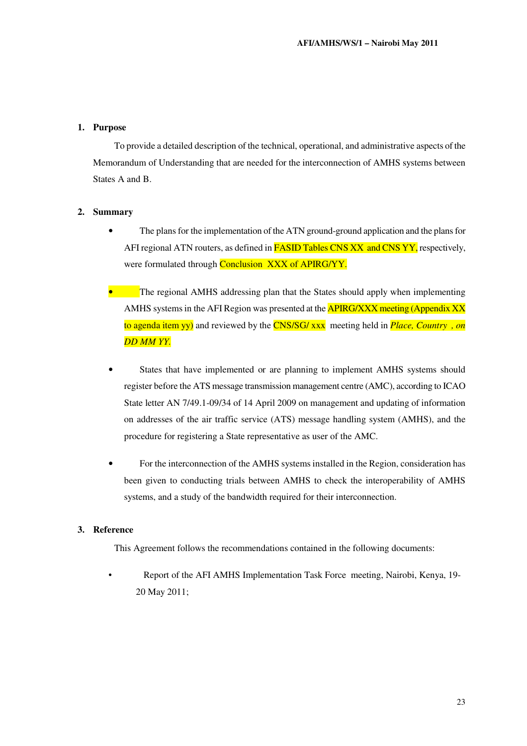#### **1. Purpose**

To provide a detailed description of the technical, operational, and administrative aspects of the Memorandum of Understanding that are needed for the interconnection of AMHS systems between States A and B.

#### **2. Summary**

- The plans for the implementation of the ATN ground-ground application and the plans for AFI regional ATN routers, as defined in **FASID Tables CNS XX and CNS YY**, respectively, were formulated through **Conclusion XXX of APIRG/YY.**
- The regional AMHS addressing plan that the States should apply when implementing AMHS systems in the AFI Region was presented at the **APIRG/XXX** meeting (Appendix XX) to agenda item yy) and reviewed by the CNS/SG/ xxx meeting held in *Place, Country , on DD MM YY.*
- States that have implemented or are planning to implement AMHS systems should register before the ATS message transmission management centre (AMC), according to ICAO State letter AN 7/49.1-09/34 of 14 April 2009 on management and updating of information on addresses of the air traffic service (ATS) message handling system (AMHS), and the procedure for registering a State representative as user of the AMC.
- For the interconnection of the AMHS systems installed in the Region, consideration has been given to conducting trials between AMHS to check the interoperability of AMHS systems, and a study of the bandwidth required for their interconnection.

#### **3. Reference**

This Agreement follows the recommendations contained in the following documents:

• Report of the AFI AMHS Implementation Task Force meeting, Nairobi, Kenya, 19- 20 May 2011;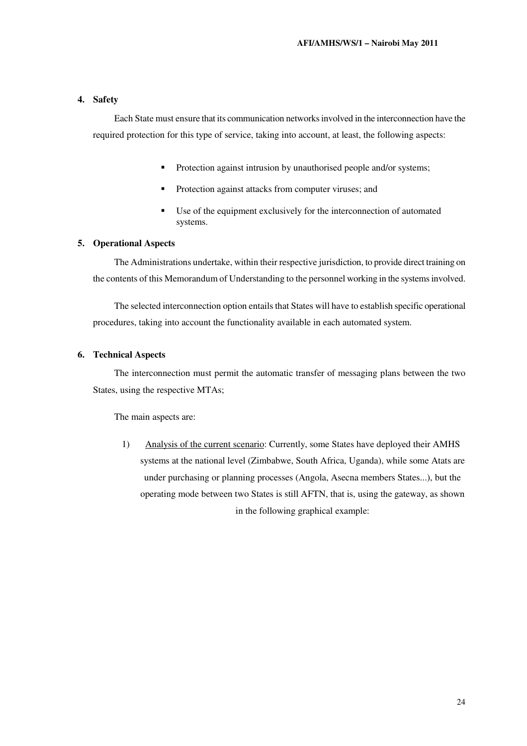#### **4. Safety**

Each State must ensure that its communication networks involved in the interconnection have the required protection for this type of service, taking into account, at least, the following aspects:

- **Protection against intrusion by unauthorised people and/or systems;**
- Protection against attacks from computer viruses; and
- Use of the equipment exclusively for the interconnection of automated systems.

#### **5. Operational Aspects**

The Administrations undertake, within their respective jurisdiction, to provide direct training on the contents of this Memorandum of Understanding to the personnel working in the systems involved.

The selected interconnection option entails that States will have to establish specific operational procedures, taking into account the functionality available in each automated system.

#### **6. Technical Aspects**

The interconnection must permit the automatic transfer of messaging plans between the two States, using the respective MTAs;

The main aspects are:

1) Analysis of the current scenario: Currently, some States have deployed their AMHS systems at the national level (Zimbabwe, South Africa, Uganda), while some Atats are under purchasing or planning processes (Angola, Asecna members States...), but the operating mode between two States is still AFTN, that is, using the gateway, as shown in the following graphical example: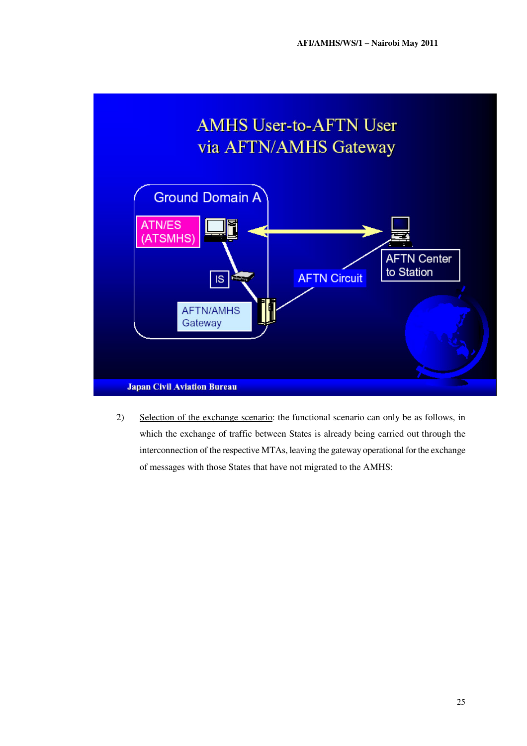

2) Selection of the exchange scenario: the functional scenario can only be as follows, in which the exchange of traffic between States is already being carried out through the interconnection of the respective MTAs, leaving the gateway operational for the exchange of messages with those States that have not migrated to the AMHS: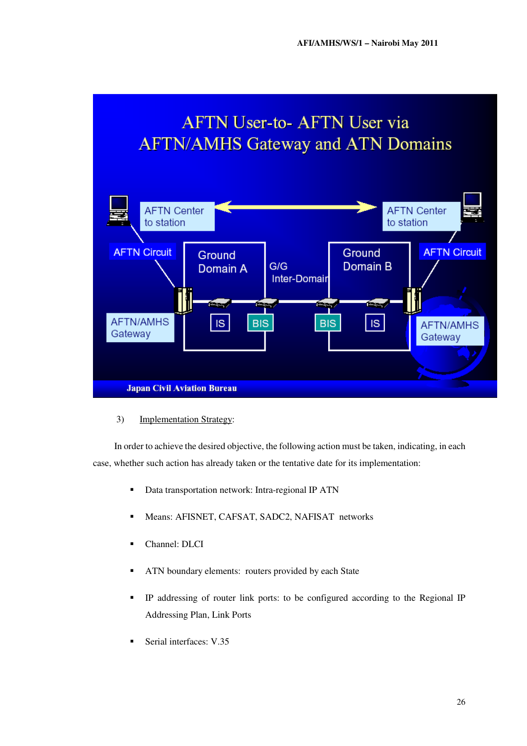# **AFTN User-to- AFTN User via AFTN/AMHS Gateway and ATN Domains**



3) Implementation Strategy:

In order to achieve the desired objective, the following action must be taken, indicating, in each case, whether such action has already taken or the tentative date for its implementation:

- Data transportation network: Intra-regional IP ATN
- Means: AFISNET, CAFSAT, SADC2, NAFISAT networks
- Channel: DLCI
- **ATN** boundary elements: routers provided by each State
- IP addressing of router link ports: to be configured according to the Regional IP Addressing Plan, Link Ports
- Serial interfaces: V.35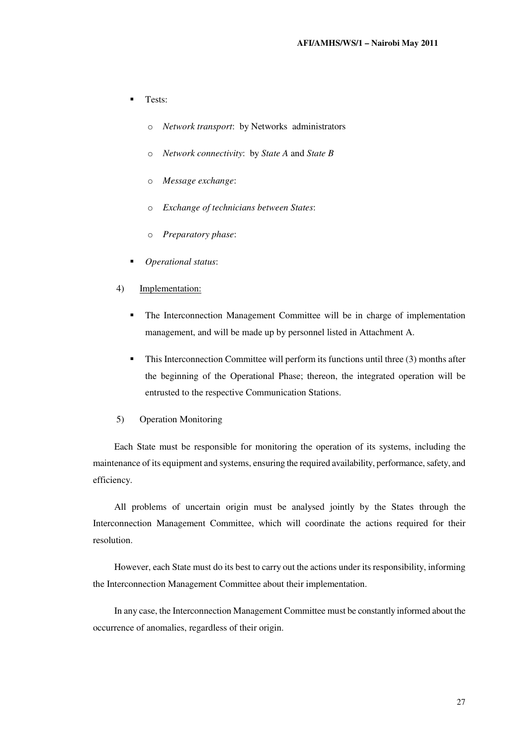- Tests:
	- o *Network transport*: by Networks administrators
	- o *Network connectivity*: by *State A* and *State B*
	- o *Message exchange*:
	- o *Exchange of technicians between States*:
	- o *Preparatory phase*:
- *Operational status*:
- 4) Implementation:
	- The Interconnection Management Committee will be in charge of implementation management, and will be made up by personnel listed in Attachment A.
	- $\blacksquare$  This Interconnection Committee will perform its functions until three (3) months after the beginning of the Operational Phase; thereon, the integrated operation will be entrusted to the respective Communication Stations.
- 5) Operation Monitoring

Each State must be responsible for monitoring the operation of its systems, including the maintenance of its equipment and systems, ensuring the required availability, performance, safety, and efficiency.

All problems of uncertain origin must be analysed jointly by the States through the Interconnection Management Committee, which will coordinate the actions required for their resolution.

However, each State must do its best to carry out the actions under its responsibility, informing the Interconnection Management Committee about their implementation.

In any case, the Interconnection Management Committee must be constantly informed about the occurrence of anomalies, regardless of their origin.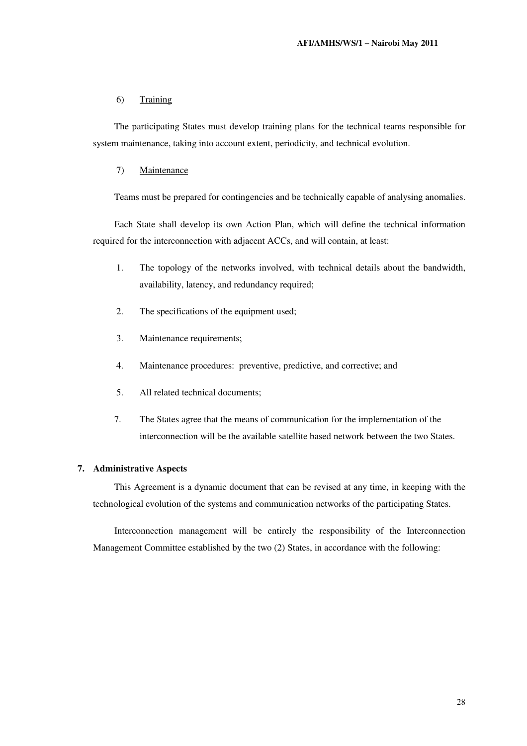#### 6) Training

The participating States must develop training plans for the technical teams responsible for system maintenance, taking into account extent, periodicity, and technical evolution.

#### 7) Maintenance

Teams must be prepared for contingencies and be technically capable of analysing anomalies.

Each State shall develop its own Action Plan, which will define the technical information required for the interconnection with adjacent ACCs, and will contain, at least:

- 1. The topology of the networks involved, with technical details about the bandwidth, availability, latency, and redundancy required;
- 2. The specifications of the equipment used;
- 3. Maintenance requirements;
- 4. Maintenance procedures: preventive, predictive, and corrective; and
- 5. All related technical documents;
- 7. The States agree that the means of communication for the implementation of the interconnection will be the available satellite based network between the two States.

#### **7. Administrative Aspects**

This Agreement is a dynamic document that can be revised at any time, in keeping with the technological evolution of the systems and communication networks of the participating States.

Interconnection management will be entirely the responsibility of the Interconnection Management Committee established by the two (2) States, in accordance with the following: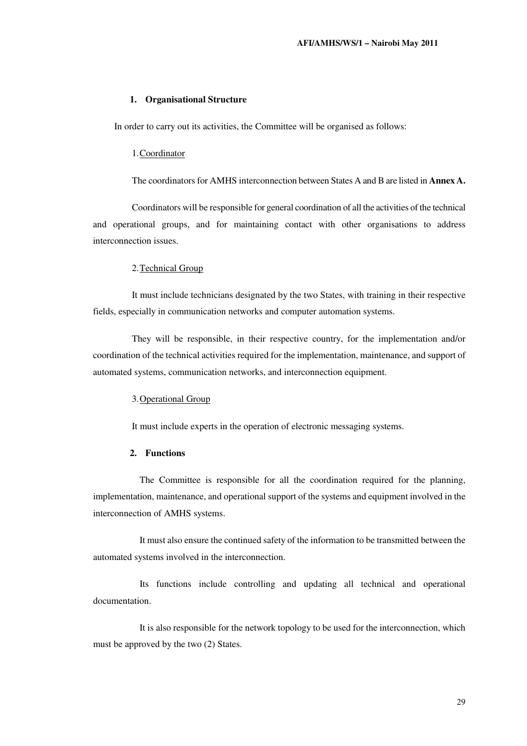#### **1. Organisational Structure**

In order to carry out its activities, the Committee will be organised as follows:

#### 1.Coordinator

The coordinators for AMHS interconnection between States A and B are listed in **Annex A.**

Coordinators will be responsible for general coordination of all the activities of the technical and operational groups, and for maintaining contact with other organisations to address interconnection issues.

#### 2.Technical Group

It must include technicians designated by the two States, with training in their respective fields, especially in communication networks and computer automation systems.

They will be responsible, in their respective country, for the implementation and/or coordination of the technical activities required for the implementation, maintenance, and support of automated systems, communication networks, and interconnection equipment.

#### 3.Operational Group

It must include experts in the operation of electronic messaging systems.

#### **2. Functions**

The Committee is responsible for all the coordination required for the planning, implementation, maintenance, and operational support of the systems and equipment involved in the interconnection of AMHS systems.

It must also ensure the continued safety of the information to be transmitted between the automated systems involved in the interconnection.

Its functions include controlling and updating all technical and operational documentation.

It is also responsible for the network topology to be used for the interconnection, which must be approved by the two (2) States.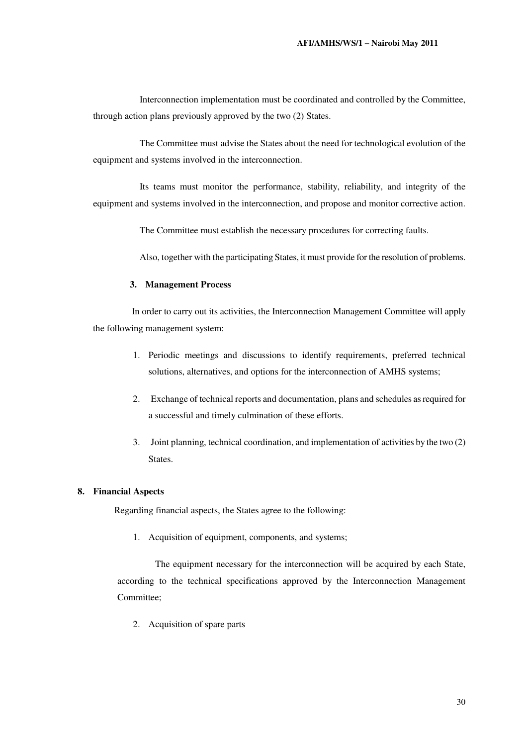Interconnection implementation must be coordinated and controlled by the Committee, through action plans previously approved by the two (2) States.

The Committee must advise the States about the need for technological evolution of the equipment and systems involved in the interconnection.

Its teams must monitor the performance, stability, reliability, and integrity of the equipment and systems involved in the interconnection, and propose and monitor corrective action.

The Committee must establish the necessary procedures for correcting faults.

Also, together with the participating States, it must provide for the resolution of problems.

#### **3. Management Process**

In order to carry out its activities, the Interconnection Management Committee will apply the following management system:

- 1. Periodic meetings and discussions to identify requirements, preferred technical solutions, alternatives, and options for the interconnection of AMHS systems;
- 2. Exchange of technical reports and documentation, plans and schedules as required for a successful and timely culmination of these efforts.
- 3. Joint planning, technical coordination, and implementation of activities by the two (2) States.

#### **8. Financial Aspects**

Regarding financial aspects, the States agree to the following:

1. Acquisition of equipment, components, and systems;

The equipment necessary for the interconnection will be acquired by each State, according to the technical specifications approved by the Interconnection Management Committee;

2. Acquisition of spare parts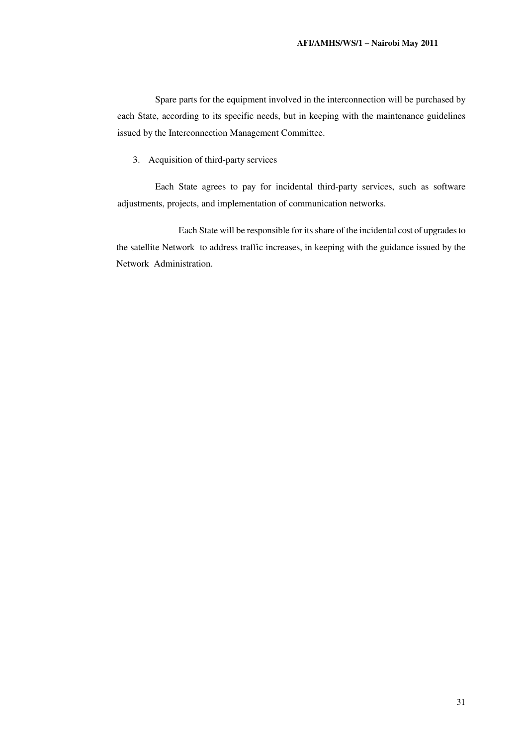Spare parts for the equipment involved in the interconnection will be purchased by each State, according to its specific needs, but in keeping with the maintenance guidelines issued by the Interconnection Management Committee.

3. Acquisition of third-party services

Each State agrees to pay for incidental third-party services, such as software adjustments, projects, and implementation of communication networks.

Each State will be responsible for its share of the incidental cost of upgrades to the satellite Network to address traffic increases, in keeping with the guidance issued by the Network Administration.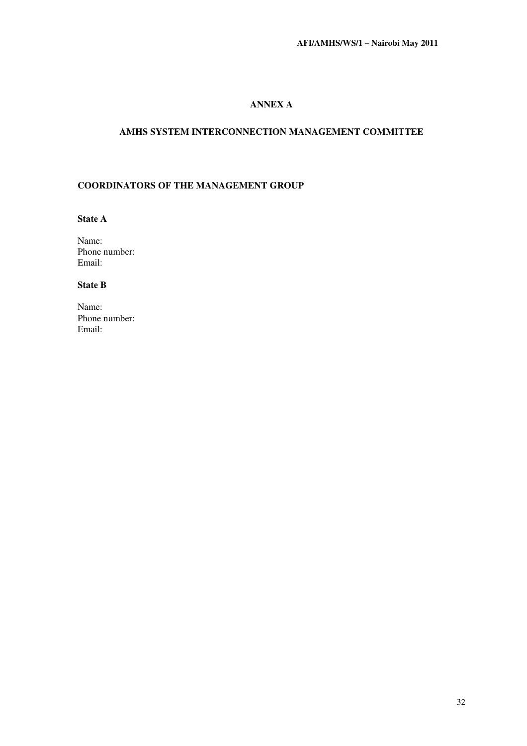### **ANNEX A**

### **AMHS SYSTEM INTERCONNECTION MANAGEMENT COMMITTEE**

#### **COORDINATORS OF THE MANAGEMENT GROUP**

**State A** 

Name: Phone number: Email:

#### **State B**

Name: Phone number: Email: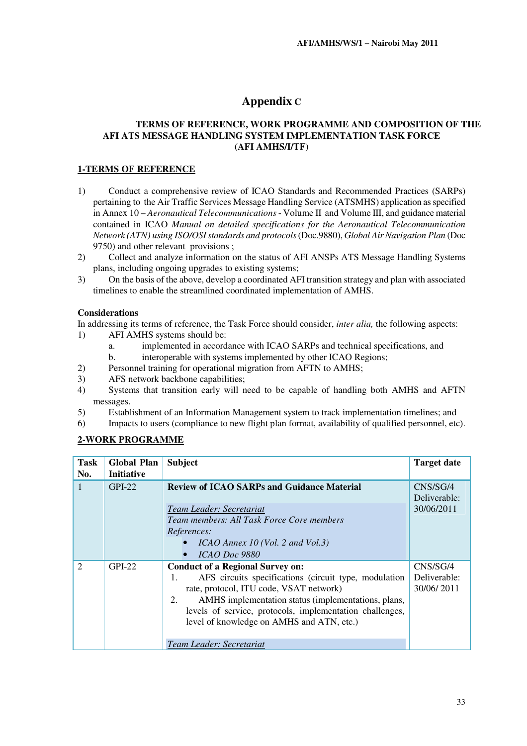# **Appendix C**

#### **AFI ATS MESSAGE HANDLING SYSTEM IMPLEMENTATION TASK FORCE (AFI AMHS/I/TF) TERMS OF REFERENCE, WORK PROGRAMME AND COMPOSITION OF THE**

#### **1-TERMS OF REFERENCE**

- 1) Conduct a comprehensive review of ICAO Standards and Recommended Practices (SARPs) pertaining to the Air Traffic Services Message Handling Service (ATSMHS) application as specified in Annex 10 – *Aeronautical Telecommunications* - Volume II and Volume III, and guidance material contained in ICAO *Manual on detailed specifications for the Aeronautical Telecommunication Network (ATN) using ISO/OSI standards and protocols* (Doc.9880), *Global Air Navigation Plan* (Doc 9750) and other relevant provisions ;
- 2) Collect and analyze information on the status of AFI ANSPs ATS Message Handling Systems plans, including ongoing upgrades to existing systems;
- 3) On the basis of the above, develop a coordinated AFI transition strategy and plan with associated timelines to enable the streamlined coordinated implementation of AMHS.

#### **Considerations**

In addressing its terms of reference, the Task Force should consider, *inter alia,* the following aspects:

- 1) AFI AMHS systems should be:
	- a. implemented in accordance with ICAO SARPs and technical specifications, and
	- b. interoperable with systems implemented by other ICAO Regions;
- 2) Personnel training for operational migration from AFTN to AMHS;
- 3) AFS network backbone capabilities;
- 4) Systems that transition early will need to be capable of handling both AMHS and AFTN messages.
- 5) Establishment of an Information Management system to track implementation timelines; and
- 6) Impacts to users (compliance to new flight plan format, availability of qualified personnel, etc).

### **2-WORK PROGRAMME**

| <b>Task</b><br>No.          | <b>Global Plan</b><br><b>Initiative</b> | <b>Subject</b>                                                                                                                                                                                                                                                                                                                                      | <b>Target date</b>                     |
|-----------------------------|-----------------------------------------|-----------------------------------------------------------------------------------------------------------------------------------------------------------------------------------------------------------------------------------------------------------------------------------------------------------------------------------------------------|----------------------------------------|
| 1                           | $GPI-22$                                | <b>Review of ICAO SARPs and Guidance Material</b><br>Team Leader: Secretariat<br>Team members: All Task Force Core members<br>References:<br>$ICAO$ Annex 10 (Vol. 2 and Vol.3)<br>ICAO Doc 9880                                                                                                                                                    | CNS/SG/4<br>Deliverable:<br>30/06/2011 |
| $\mathcal{D}_{\mathcal{L}}$ | $GPI-22$                                | <b>Conduct of a Regional Survey on:</b><br>AFS circuits specifications (circuit type, modulation<br>1.<br>rate, protocol, ITU code, VSAT network)<br>2.<br>AMHS implementation status (implementations, plans,<br>levels of service, protocols, implementation challenges,<br>level of knowledge on AMHS and ATN, etc.)<br>Team Leader: Secretariat | CNS/SG/4<br>Deliverable:<br>30/06/2011 |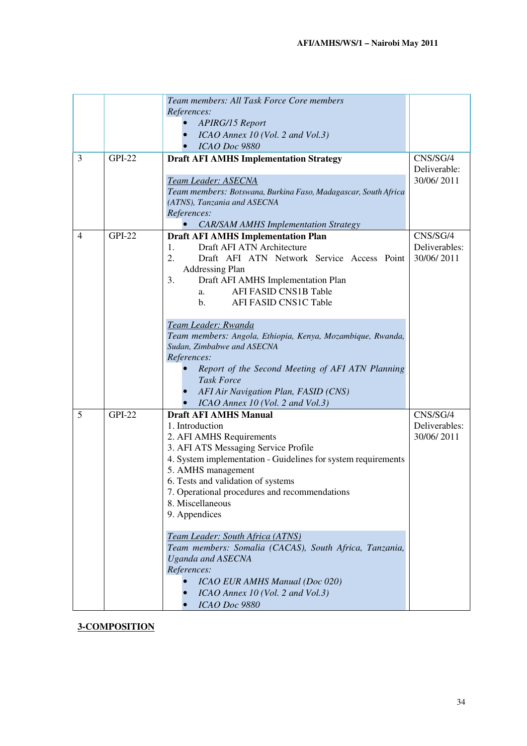|                |               | Team members: All Task Force Core members                                                |               |
|----------------|---------------|------------------------------------------------------------------------------------------|---------------|
|                |               | References:                                                                              |               |
|                |               | <b>APIRG/15 Report</b>                                                                   |               |
|                |               | ICAO Annex 10 (Vol. 2 and Vol.3)                                                         |               |
|                |               | ICAO Doc 9880                                                                            |               |
| 3              | <b>GPI-22</b> | <b>Draft AFI AMHS Implementation Strategy</b>                                            | CNS/SG/4      |
|                |               |                                                                                          | Deliverable:  |
|                |               | Team Leader: ASECNA                                                                      | 30/06/2011    |
|                |               | Team members: Botswana, Burkina Faso, Madagascar, South Africa                           |               |
|                |               | (ATNS), Tanzania and ASECNA                                                              |               |
|                |               | References:                                                                              |               |
|                |               | <b>CAR/SAM AMHS Implementation Strategy</b>                                              |               |
| $\overline{4}$ | <b>GPI-22</b> | <b>Draft AFI AMHS Implementation Plan</b>                                                | CNS/SG/4      |
|                |               | Draft AFI ATN Architecture<br>1.                                                         | Deliverables: |
|                |               | 2.<br>Draft AFI ATN Network Service Access Point                                         | 30/06/2011    |
|                |               | <b>Addressing Plan</b>                                                                   |               |
|                |               | 3.<br>Draft AFI AMHS Implementation Plan                                                 |               |
|                |               | <b>AFI FASID CNS1B Table</b><br>a.                                                       |               |
|                |               | AFI FASID CNS1C Table<br>$\mathbf{b}$ .                                                  |               |
|                |               |                                                                                          |               |
|                |               | Team Leader: Rwanda                                                                      |               |
|                |               | Team members: Angola, Ethiopia, Kenya, Mozambique, Rwanda,<br>Sudan, Zimbabwe and ASECNA |               |
|                |               | References:                                                                              |               |
|                |               | Report of the Second Meeting of AFI ATN Planning                                         |               |
|                |               | <b>Task Force</b>                                                                        |               |
|                |               | AFI Air Navigation Plan, FASID (CNS)                                                     |               |
|                |               | ICAO Annex 10 (Vol. 2 and Vol.3)                                                         |               |
| 5              | <b>GPI-22</b> | <b>Draft AFI AMHS Manual</b>                                                             | CNS/SG/4      |
|                |               | 1. Introduction                                                                          | Deliverables: |
|                |               | 2. AFI AMHS Requirements                                                                 | 30/06/2011    |
|                |               | 3. AFI ATS Messaging Service Profile                                                     |               |
|                |               | 4. System implementation - Guidelines for system requirements                            |               |
|                |               | 5. AMHS management                                                                       |               |
|                |               | 6. Tests and validation of systems                                                       |               |
|                |               | 7. Operational procedures and recommendations                                            |               |
|                |               | 8. Miscellaneous                                                                         |               |
|                |               | 9. Appendices                                                                            |               |
|                |               |                                                                                          |               |
|                |               | Team Leader: South Africa (ATNS)                                                         |               |
|                |               | Team members: Somalia (CACAS), South Africa, Tanzania,                                   |               |
|                |               | <b>Uganda and ASECNA</b><br>References:                                                  |               |
|                |               | <b>ICAO EUR AMHS Manual (Doc 020)</b>                                                    |               |
|                |               | ICAO Annex 10 (Vol. 2 and Vol.3)                                                         |               |
|                |               | ICAO Doc 9880                                                                            |               |
|                |               |                                                                                          |               |

**3-COMPOSITION**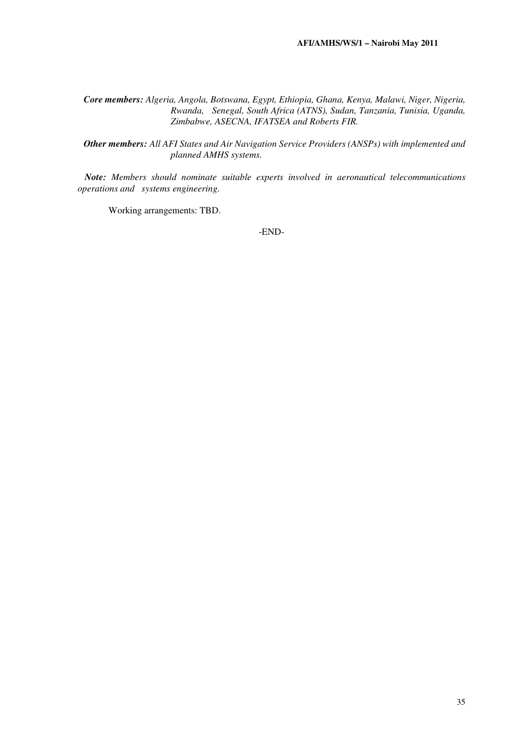*Core members: Algeria, Angola, Botswana, Egypt, Ethiopia, Ghana, Kenya, Malawi, Niger, Nigeria, Rwanda, Senegal, South Africa (ATNS), Sudan, Tanzania, Tunisia, Uganda, Zimbabwe, ASECNA, IFATSEA and Roberts FIR.* 

*Other members: All AFI States and Air Navigation Service Providers (ANSPs) with implemented and planned AMHS systems.* 

 *Note: Members should nominate suitable experts involved in aeronautical telecommunications operations and systems engineering.* 

Working arrangements: TBD.

-END-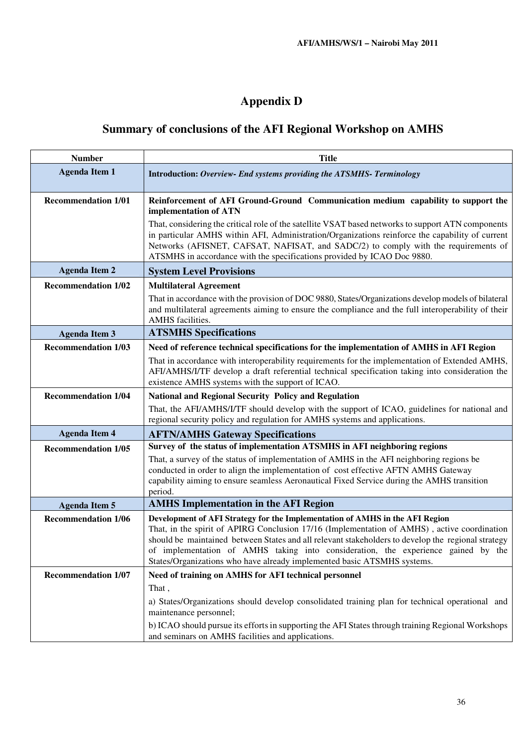# **Appendix D**

# **Summary of conclusions of the AFI Regional Workshop on AMHS**

| <b>Number</b>              | <b>Title</b>                                                                                                                                                                                                                                                                                                                                                                                                                                      |  |  |
|----------------------------|---------------------------------------------------------------------------------------------------------------------------------------------------------------------------------------------------------------------------------------------------------------------------------------------------------------------------------------------------------------------------------------------------------------------------------------------------|--|--|
| <b>Agenda Item 1</b>       | Introduction: Overview- End systems providing the ATSMHS- Terminology                                                                                                                                                                                                                                                                                                                                                                             |  |  |
| <b>Recommendation 1/01</b> | Reinforcement of AFI Ground-Ground Communication medium capability to support the<br>implementation of ATN                                                                                                                                                                                                                                                                                                                                        |  |  |
|                            | That, considering the critical role of the satellite VSAT based networks to support ATN components<br>in particular AMHS within AFI, Administration/Organizations reinforce the capability of current<br>Networks (AFISNET, CAFSAT, NAFISAT, and SADC/2) to comply with the requirements of<br>ATSMHS in accordance with the specifications provided by ICAO Doc 9880.                                                                            |  |  |
| <b>Agenda Item 2</b>       | <b>System Level Provisions</b>                                                                                                                                                                                                                                                                                                                                                                                                                    |  |  |
| <b>Recommendation 1/02</b> | <b>Multilateral Agreement</b>                                                                                                                                                                                                                                                                                                                                                                                                                     |  |  |
|                            | That in accordance with the provision of DOC 9880, States/Organizations develop models of bilateral<br>and multilateral agreements aiming to ensure the compliance and the full interoperability of their<br><b>AMHS</b> facilities.                                                                                                                                                                                                              |  |  |
| <b>Agenda Item 3</b>       | <b>ATSMHS Specifications</b>                                                                                                                                                                                                                                                                                                                                                                                                                      |  |  |
| <b>Recommendation 1/03</b> | Need of reference technical specifications for the implementation of AMHS in AFI Region                                                                                                                                                                                                                                                                                                                                                           |  |  |
|                            | That in accordance with interoperability requirements for the implementation of Extended AMHS,<br>AFI/AMHS/I/TF develop a draft referential technical specification taking into consideration the<br>existence AMHS systems with the support of ICAO.                                                                                                                                                                                             |  |  |
| <b>Recommendation 1/04</b> | <b>National and Regional Security Policy and Regulation</b>                                                                                                                                                                                                                                                                                                                                                                                       |  |  |
|                            | That, the AFI/AMHS/I/TF should develop with the support of ICAO, guidelines for national and<br>regional security policy and regulation for AMHS systems and applications.                                                                                                                                                                                                                                                                        |  |  |
| <b>Agenda Item 4</b>       | <b>AFTN/AMHS Gateway Specifications</b>                                                                                                                                                                                                                                                                                                                                                                                                           |  |  |
| <b>Recommendation 1/05</b> | Survey of the status of implementation ATSMHS in AFI neighboring regions                                                                                                                                                                                                                                                                                                                                                                          |  |  |
|                            | That, a survey of the status of implementation of AMHS in the AFI neighboring regions be<br>conducted in order to align the implementation of cost effective AFTN AMHS Gateway<br>capability aiming to ensure seamless Aeronautical Fixed Service during the AMHS transition<br>period.                                                                                                                                                           |  |  |
| <b>Agenda Item 5</b>       | <b>AMHS</b> Implementation in the AFI Region                                                                                                                                                                                                                                                                                                                                                                                                      |  |  |
| <b>Recommendation 1/06</b> | Development of AFI Strategy for the Implementation of AMHS in the AFI Region<br>That, in the spirit of APIRG Conclusion 17/16 (Implementation of AMHS), active coordination<br>should be maintained between States and all relevant stakeholders to develop the regional strategy<br>of implementation of AMHS taking into consideration, the experience gained by the<br>States/Organizations who have already implemented basic ATSMHS systems. |  |  |
| <b>Recommendation 1/07</b> | Need of training on AMHS for AFI technical personnel                                                                                                                                                                                                                                                                                                                                                                                              |  |  |
|                            | That,                                                                                                                                                                                                                                                                                                                                                                                                                                             |  |  |
|                            | a) States/Organizations should develop consolidated training plan for technical operational and<br>maintenance personnel;                                                                                                                                                                                                                                                                                                                         |  |  |
|                            | b) ICAO should pursue its efforts in supporting the AFI States through training Regional Workshops<br>and seminars on AMHS facilities and applications.                                                                                                                                                                                                                                                                                           |  |  |